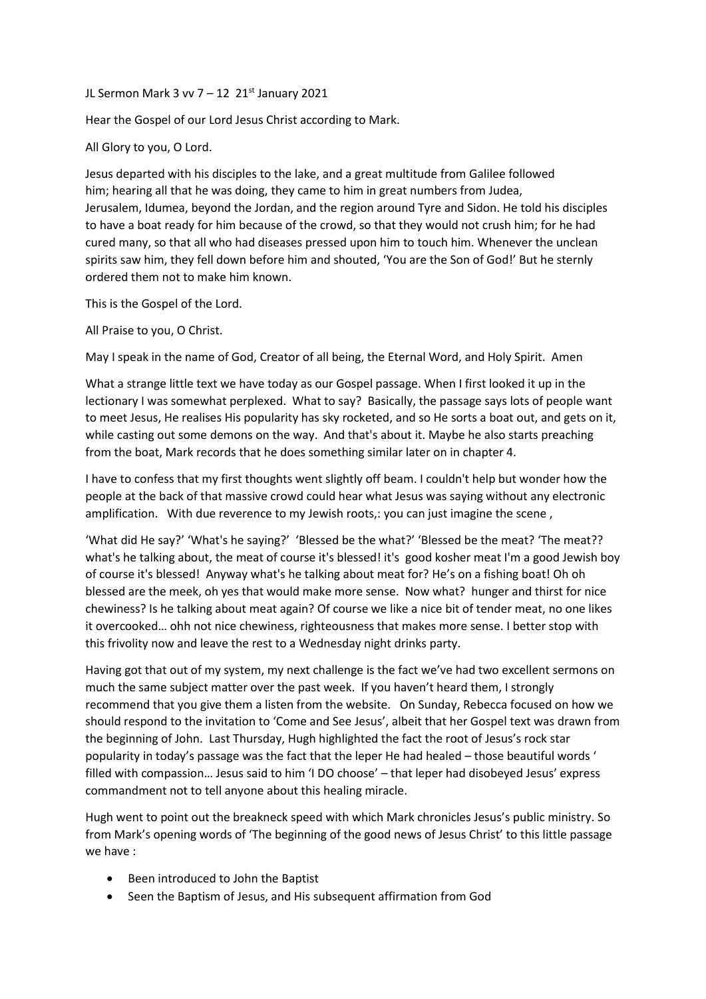## JL Sermon Mark 3 vv  $7 - 12$  21st January 2021

Hear the Gospel of our Lord Jesus Christ according to Mark.

All Glory to you, O Lord.

Jesus departed with his disciples to the lake, and a great multitude from Galilee followed him; hearing all that he was doing, they came to him in great numbers from Judea, Jerusalem, Idumea, beyond the Jordan, and the region around Tyre and Sidon. He told his disciples to have a boat ready for him because of the crowd, so that they would not crush him; for he had cured many, so that all who had diseases pressed upon him to touch him. Whenever the unclean spirits saw him, they fell down before him and shouted, 'You are the Son of God!' But he sternly ordered them not to make him known.

This is the Gospel of the Lord.

All Praise to you, O Christ.

May I speak in the name of God, Creator of all being, the Eternal Word, and Holy Spirit. Amen

What a strange little text we have today as our Gospel passage. When I first looked it up in the lectionary I was somewhat perplexed. What to say? Basically, the passage says lots of people want to meet Jesus, He realises His popularity has sky rocketed, and so He sorts a boat out, and gets on it, while casting out some demons on the way. And that's about it. Maybe he also starts preaching from the boat, Mark records that he does something similar later on in chapter 4.

I have to confess that my first thoughts went slightly off beam. I couldn't help but wonder how the people at the back of that massive crowd could hear what Jesus was saying without any electronic amplification. With due reverence to my Jewish roots,: you can just imagine the scene,

'What did He say?' 'What's he saying?' 'Blessed be the what?' 'Blessed be the meat? 'The meat?? what's he talking about, the meat of course it's blessed! it's good kosher meat I'm a good Jewish boy of course it's blessed! Anyway what's he talking about meat for? He's on a fishing boat! Oh oh blessed are the meek, oh yes that would make more sense. Now what? hunger and thirst for nice chewiness? Is he talking about meat again? Of course we like a nice bit of tender meat, no one likes it overcooked… ohh not nice chewiness, righteousness that makes more sense. I better stop with this frivolity now and leave the rest to a Wednesday night drinks party.

Having got that out of my system, my next challenge is the fact we've had two excellent sermons on much the same subject matter over the past week. If you haven't heard them, I strongly recommend that you give them a listen from the website. On Sunday, Rebecca focused on how we should respond to the invitation to 'Come and See Jesus', albeit that her Gospel text was drawn from the beginning of John. Last Thursday, Hugh highlighted the fact the root of Jesus's rock star popularity in today's passage was the fact that the leper He had healed – those beautiful words ' filled with compassion… Jesus said to him 'I DO choose' – that leper had disobeyed Jesus' express commandment not to tell anyone about this healing miracle.

Hugh went to point out the breakneck speed with which Mark chronicles Jesus's public ministry. So from Mark's opening words of 'The beginning of the good news of Jesus Christ' to this little passage we have :

- Been introduced to John the Baptist
- Seen the Baptism of Jesus, and His subsequent affirmation from God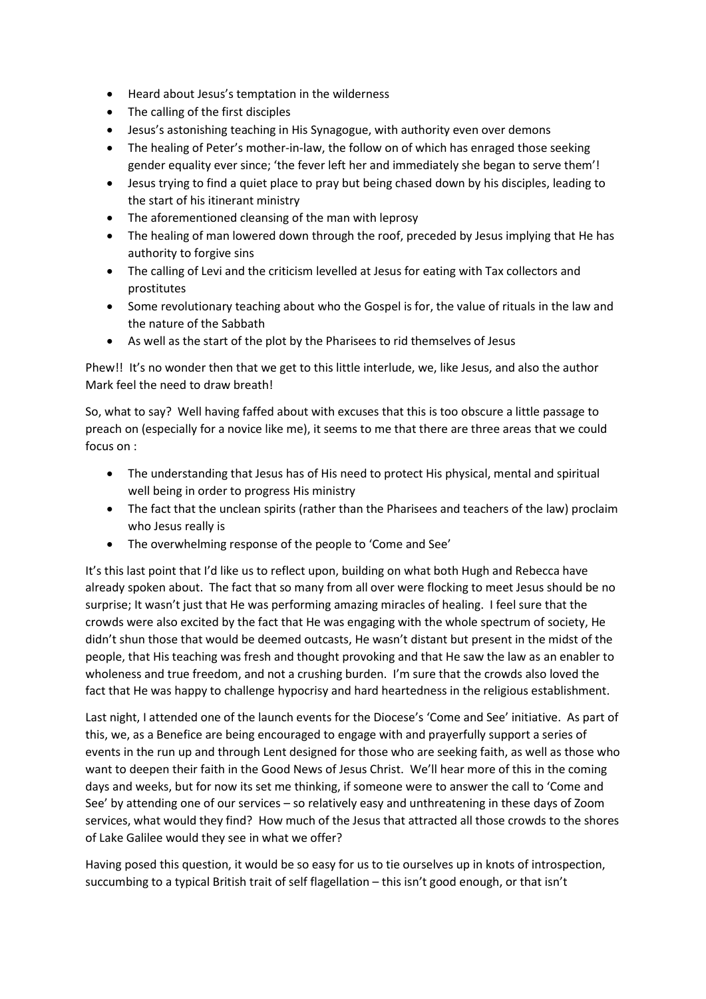- Heard about Jesus's temptation in the wilderness
- The calling of the first disciples
- Jesus's astonishing teaching in His Synagogue, with authority even over demons
- The healing of Peter's mother-in-law, the follow on of which has enraged those seeking gender equality ever since; 'the fever left her and immediately she began to serve them'!
- Jesus trying to find a quiet place to pray but being chased down by his disciples, leading to the start of his itinerant ministry
- The aforementioned cleansing of the man with leprosy
- The healing of man lowered down through the roof, preceded by Jesus implying that He has authority to forgive sins
- The calling of Levi and the criticism levelled at Jesus for eating with Tax collectors and prostitutes
- Some revolutionary teaching about who the Gospel is for, the value of rituals in the law and the nature of the Sabbath
- As well as the start of the plot by the Pharisees to rid themselves of Jesus

Phew!! It's no wonder then that we get to this little interlude, we, like Jesus, and also the author Mark feel the need to draw breath!

So, what to say? Well having faffed about with excuses that this is too obscure a little passage to preach on (especially for a novice like me), it seems to me that there are three areas that we could focus on :

- The understanding that Jesus has of His need to protect His physical, mental and spiritual well being in order to progress His ministry
- The fact that the unclean spirits (rather than the Pharisees and teachers of the law) proclaim who Jesus really is
- The overwhelming response of the people to 'Come and See'

It's this last point that I'd like us to reflect upon, building on what both Hugh and Rebecca have already spoken about. The fact that so many from all over were flocking to meet Jesus should be no surprise; It wasn't just that He was performing amazing miracles of healing. I feel sure that the crowds were also excited by the fact that He was engaging with the whole spectrum of society, He didn't shun those that would be deemed outcasts, He wasn't distant but present in the midst of the people, that His teaching was fresh and thought provoking and that He saw the law as an enabler to wholeness and true freedom, and not a crushing burden. I'm sure that the crowds also loved the fact that He was happy to challenge hypocrisy and hard heartedness in the religious establishment.

Last night, I attended one of the launch events for the Diocese's 'Come and See' initiative. As part of this, we, as a Benefice are being encouraged to engage with and prayerfully support a series of events in the run up and through Lent designed for those who are seeking faith, as well as those who want to deepen their faith in the Good News of Jesus Christ. We'll hear more of this in the coming days and weeks, but for now its set me thinking, if someone were to answer the call to 'Come and See' by attending one of our services – so relatively easy and unthreatening in these days of Zoom services, what would they find? How much of the Jesus that attracted all those crowds to the shores of Lake Galilee would they see in what we offer?

Having posed this question, it would be so easy for us to tie ourselves up in knots of introspection, succumbing to a typical British trait of self flagellation – this isn't good enough, or that isn't